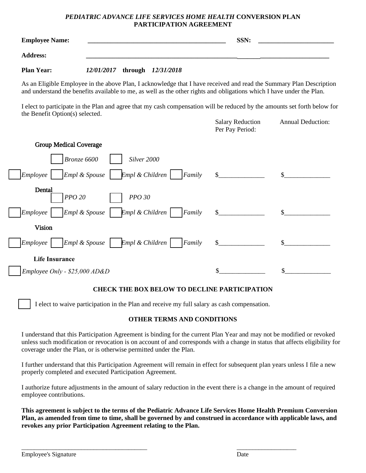# *PEDIATRIC ADVANCE LIFE SERVICES HOME HEALTH* **CONVERSION PLAN PARTICIPATION AGREEMENT**

| <b>Employee Name:</b> | SSN: |  |
|-----------------------|------|--|
| <b>Address:</b>       |      |  |

**Plan Year:**  *12/01/2017* **through** *12/31/2018*

As an Eligible Employee in the above Plan, I acknowledge that I have received and read the Summary Plan Description and understand the benefits available to me, as well as the other rights and obligations which I have under the Plan.

I elect to participate in the Plan and agree that my cash compensation will be reduced by the amounts set forth below for the Benefit Option(s) selected.

|                                                              | <b>Salary Reduction</b><br>Per Pay Period: | <b>Annual Deduction:</b> |
|--------------------------------------------------------------|--------------------------------------------|--------------------------|
| <b>Group Medical Coverage</b>                                |                                            |                          |
| Bronze 6600<br>Silver 2000                                   |                                            |                          |
| $Empl$ & Children $ $<br>Empl & Spouse<br>Employee<br>Family | $\mathbb{S}$                               |                          |
| Dental<br><b>PPO 20</b><br>PPO 30                            |                                            |                          |
| Empl & Spouse<br>$Empl$ & Children<br>Employee<br>Family     | \$                                         |                          |
| <b>Vision</b>                                                |                                            |                          |
| $Empl$ & Children<br>Empl & Spouse<br>Employee<br>Family     | \$.                                        |                          |
| <b>Life Insurance</b>                                        |                                            |                          |
| $Employee Only - $25,000 AD&D$                               | \$                                         |                          |

# **CHECK THE BOX BELOW TO DECLINE PARTICIPATION**

I elect to waive participation in the Plan and receive my full salary as cash compensation.

### **OTHER TERMS AND CONDITIONS**

I understand that this Participation Agreement is binding for the current Plan Year and may not be modified or revoked unless such modification or revocation is on account of and corresponds with a change in status that affects eligibility for coverage under the Plan, or is otherwise permitted under the Plan.

I further understand that this Participation Agreement will remain in effect for subsequent plan years unless I file a new properly completed and executed Participation Agreement.

I authorize future adjustments in the amount of salary reduction in the event there is a change in the amount of required employee contributions.

**This agreement is subject to the terms of the Pediatric Advance Life Services Home Health Premium Conversion Plan, as amended from time to time, shall be governed by and construed in accordance with applicable laws, and revokes any prior Participation Agreement relating to the Plan.** 

 $\frac{1}{2}$  ,  $\frac{1}{2}$  ,  $\frac{1}{2}$  ,  $\frac{1}{2}$  ,  $\frac{1}{2}$  ,  $\frac{1}{2}$  ,  $\frac{1}{2}$  ,  $\frac{1}{2}$  ,  $\frac{1}{2}$  ,  $\frac{1}{2}$  ,  $\frac{1}{2}$  ,  $\frac{1}{2}$  ,  $\frac{1}{2}$  ,  $\frac{1}{2}$  ,  $\frac{1}{2}$  ,  $\frac{1}{2}$  ,  $\frac{1}{2}$  ,  $\frac{1}{2}$  ,  $\frac{1$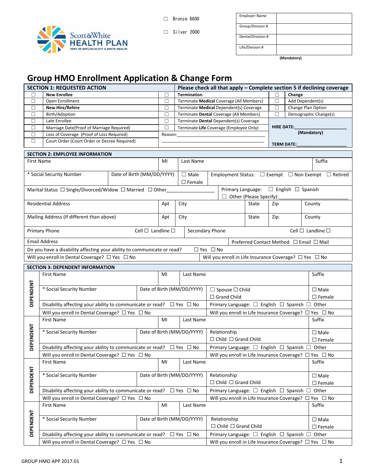

☐ Bronze 6600

☐ Silver 2000

| <b>Employer Name</b> |  |
|----------------------|--|
| Group/Division #     |  |
| Dental/Division #    |  |
| Life/Division #      |  |

**(Mandatory)**

# **Group HMO Enrollment Application & Change Form**

| <b>SECTION 1: REQUESTED ACTION</b>                                        |                                                                                                                                                                                     |                            |  |         |                                          |  |                                                                       |                  | Please check all that apply - Complete section 5 if declining coverage |                  |                                                                  |
|---------------------------------------------------------------------------|-------------------------------------------------------------------------------------------------------------------------------------------------------------------------------------|----------------------------|--|---------|------------------------------------------|--|-----------------------------------------------------------------------|------------------|------------------------------------------------------------------------|------------------|------------------------------------------------------------------|
|                                                                           | <b>New Enrollee</b>                                                                                                                                                                 |                            |  | П       | <b>Termination</b>                       |  |                                                                       |                  |                                                                        | Change           |                                                                  |
| $\Box$                                                                    | Open Enrollment                                                                                                                                                                     |                            |  | $\Box$  | Terminate Medical Coverage (All Members) |  |                                                                       |                  | $\Box$                                                                 | Add Dependent(s) |                                                                  |
| $\Box$                                                                    | <b>New Hire/Rehire</b>                                                                                                                                                              |                            |  | $\Box$  | Terminate Medical Dependent(s) Coverage  |  |                                                                       |                  | $\Box$                                                                 |                  | Change Plan Option                                               |
| $\Box$                                                                    | Birth/Adoption                                                                                                                                                                      |                            |  | $\Box$  | Terminate Dental Coverage (All Members)  |  |                                                                       |                  | П                                                                      |                  | Demographic Change(s)                                            |
| $\Box$                                                                    | Late Enrollee                                                                                                                                                                       |                            |  | $\Box$  | Terminate Dental Dependent(s) Coverage   |  |                                                                       |                  |                                                                        |                  |                                                                  |
| $\Box$                                                                    | Marriage Date(Proof of Marriage Required)                                                                                                                                           |                            |  | П       | Terminate Life Coverage (Employee Only)  |  |                                                                       |                  | <b>HIRE DATE:</b>                                                      |                  | (Mandatory)                                                      |
| $\Box$                                                                    | Loss of Coverage (Proof of Loss Required)                                                                                                                                           |                            |  | Reason: |                                          |  |                                                                       |                  |                                                                        |                  |                                                                  |
| $\Box$                                                                    | Court Order (Court Order or Decree Required)                                                                                                                                        |                            |  |         |                                          |  |                                                                       |                  | <b>TERM DATE:</b>                                                      |                  |                                                                  |
|                                                                           | <b>SECTION 2: EMPLOYEE INFORMATION</b>                                                                                                                                              |                            |  |         |                                          |  |                                                                       |                  |                                                                        |                  |                                                                  |
| First Name                                                                |                                                                                                                                                                                     |                            |  | MI      | Last Name                                |  |                                                                       |                  |                                                                        |                  | Suffix                                                           |
|                                                                           |                                                                                                                                                                                     |                            |  |         |                                          |  |                                                                       |                  |                                                                        |                  |                                                                  |
|                                                                           | * Social Security Number                                                                                                                                                            | Date of Birth (MM/DD/YYYY) |  |         | $\square$ Male                           |  |                                                                       |                  |                                                                        |                  | Employment Status: □ Exempt □ Non Exempt □ Retired               |
|                                                                           |                                                                                                                                                                                     |                            |  |         | $\square$ Female                         |  |                                                                       |                  |                                                                        |                  |                                                                  |
|                                                                           | Marital Status □ Single/Divorced/Widow □ Married □ Other                                                                                                                            |                            |  |         |                                          |  | Primary Language: □ English □ Spanish                                 |                  |                                                                        |                  |                                                                  |
|                                                                           |                                                                                                                                                                                     |                            |  |         |                                          |  | $\Box$ Other (Please Specify):                                        |                  |                                                                        |                  |                                                                  |
|                                                                           | <b>Residential Address</b>                                                                                                                                                          |                            |  | Apt     | City                                     |  |                                                                       | State            | Zip                                                                    |                  | County                                                           |
|                                                                           |                                                                                                                                                                                     |                            |  |         |                                          |  |                                                                       |                  |                                                                        |                  |                                                                  |
|                                                                           | Mailing Address (If different than above)                                                                                                                                           |                            |  | Apt     | City                                     |  |                                                                       | State            | Zip                                                                    |                  | County                                                           |
|                                                                           |                                                                                                                                                                                     |                            |  |         |                                          |  |                                                                       |                  |                                                                        |                  |                                                                  |
|                                                                           | Primary Phone<br>Cell $\square$ Landline $\square$<br>Secondary Phone                                                                                                               |                            |  |         | Cell $\Box$ Landline $\Box$              |  |                                                                       |                  |                                                                        |                  |                                                                  |
| <b>Email Address</b><br>Preferred Contact Method $\Box$ Email $\Box$ Mail |                                                                                                                                                                                     |                            |  |         |                                          |  |                                                                       |                  |                                                                        |                  |                                                                  |
|                                                                           |                                                                                                                                                                                     |                            |  |         | $\Box$ Yes $\Box$ No                     |  |                                                                       |                  |                                                                        |                  |                                                                  |
|                                                                           | Do you have a disability affecting your ability to communicate or read?<br>Will you enroll in Dental Coverage? □ Yes □ No<br>Will you enroll in Life Insurance Coverage? □ Yes □ No |                            |  |         |                                          |  |                                                                       |                  |                                                                        |                  |                                                                  |
|                                                                           |                                                                                                                                                                                     |                            |  |         |                                          |  |                                                                       |                  |                                                                        |                  |                                                                  |
|                                                                           | <b>SECTION 3: DEPENDENT INFORMATION</b>                                                                                                                                             |                            |  |         |                                          |  |                                                                       |                  |                                                                        |                  |                                                                  |
|                                                                           | First Name                                                                                                                                                                          |                            |  | MI      | Last Name                                |  |                                                                       |                  |                                                                        |                  | Suffix                                                           |
|                                                                           |                                                                                                                                                                                     |                            |  |         |                                          |  |                                                                       |                  |                                                                        |                  |                                                                  |
| DEPENDENT                                                                 | * Social Security Number                                                                                                                                                            |                            |  |         | Date of Birth (MM/DD/YYYY)               |  | $\Box$ Spouse $\Box$ Child                                            |                  |                                                                        |                  | $\square$ Male                                                   |
|                                                                           |                                                                                                                                                                                     |                            |  |         | $\Box$ Grand Child                       |  |                                                                       | $\square$ Female |                                                                        |                  |                                                                  |
|                                                                           | Disability affecting your ability to communicate or read? $\Box$ Yes $\Box$ No                                                                                                      |                            |  |         |                                          |  | Primary Language: □ English □ Spanish □ Other                         |                  |                                                                        |                  |                                                                  |
|                                                                           | Will you enroll in Dental Coverage? □ Yes □ No                                                                                                                                      |                            |  |         |                                          |  |                                                                       |                  |                                                                        |                  | Will you enroll in Life Insurance Coverage? $\Box$ Yes $\Box$ No |
|                                                                           | <b>First Name</b>                                                                                                                                                                   |                            |  | MI      | Last Name                                |  |                                                                       | Suffix           |                                                                        |                  |                                                                  |
|                                                                           |                                                                                                                                                                                     |                            |  |         |                                          |  |                                                                       |                  |                                                                        |                  |                                                                  |
| DEPENDENT                                                                 | * Social Security Number                                                                                                                                                            |                            |  |         | Date of Birth (MM/DD/YYYY)               |  | Relationship                                                          |                  |                                                                        |                  | $\square$ Male                                                   |
|                                                                           |                                                                                                                                                                                     |                            |  |         |                                          |  | $\Box$ Child $\Box$ Grand Child                                       |                  |                                                                        |                  | $\square$ Female                                                 |
|                                                                           | Disability affecting your ability to communicate or read? $\Box$ Yes $\Box$ No                                                                                                      |                            |  |         |                                          |  | Primary Language: $\square$ English $\square$ Spanish $\square$ Other |                  |                                                                        |                  |                                                                  |
|                                                                           | Will you enroll in Dental Coverage? □ Yes □ No                                                                                                                                      |                            |  |         |                                          |  |                                                                       |                  |                                                                        |                  | Will you enroll in Life Insurance Coverage? □ Yes □ No           |
|                                                                           | <b>First Name</b>                                                                                                                                                                   |                            |  | MI      | Last Name                                |  |                                                                       |                  |                                                                        |                  | Suffix                                                           |
|                                                                           |                                                                                                                                                                                     |                            |  |         |                                          |  |                                                                       |                  |                                                                        |                  |                                                                  |
|                                                                           | * Social Security Number                                                                                                                                                            |                            |  |         | Date of Birth (MM/DD/YYYY)               |  | Relationship                                                          |                  |                                                                        |                  | $\square$ Male                                                   |
|                                                                           |                                                                                                                                                                                     |                            |  |         |                                          |  | $\Box$ Child $\Box$ Grand Child                                       |                  |                                                                        |                  | $\square$ Female                                                 |
| DEPENDENT                                                                 | Disability affecting your ability to communicate or read? $\Box$ Yes $\Box$ No                                                                                                      |                            |  |         |                                          |  | Primary Language: □ English □ Spanish □                               |                  |                                                                        |                  | Other                                                            |
|                                                                           | Will you enroll in Dental Coverage? □ Yes □ No                                                                                                                                      |                            |  |         |                                          |  |                                                                       |                  |                                                                        |                  | Will you enroll in Life Insurance Coverage? $\Box$ Yes $\Box$ No |
|                                                                           | First Name                                                                                                                                                                          |                            |  | MI      | Last Name                                |  |                                                                       |                  |                                                                        |                  | Suffix                                                           |
|                                                                           |                                                                                                                                                                                     |                            |  |         |                                          |  |                                                                       |                  |                                                                        |                  |                                                                  |
| DEPENDENT                                                                 | * Social Security Number                                                                                                                                                            |                            |  |         | Date of Birth (MM/DD/YYYY)               |  | Relationship                                                          |                  |                                                                        |                  | $\square$ Male                                                   |
|                                                                           |                                                                                                                                                                                     |                            |  |         |                                          |  | $\Box$ Child $\Box$ Grand Child                                       |                  |                                                                        |                  | $\square$ Female                                                 |
|                                                                           | Disability affecting your ability to communicate or read? $\Box$ Yes $\Box$ No                                                                                                      |                            |  |         |                                          |  | Primary Language: $\square$ English $\square$ Spanish $\square$ Other |                  |                                                                        |                  |                                                                  |
|                                                                           | Will you enroll in Dental Coverage? □ Yes □ No                                                                                                                                      |                            |  |         |                                          |  |                                                                       |                  |                                                                        |                  | Will you enroll in Life Insurance Coverage? $\Box$ Yes $\Box$ No |
|                                                                           |                                                                                                                                                                                     |                            |  |         |                                          |  |                                                                       |                  |                                                                        |                  |                                                                  |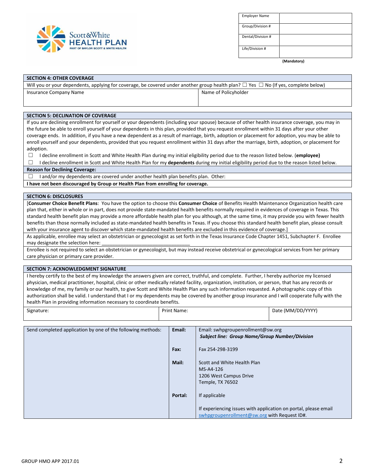

| <b>Employer Name</b> |  |
|----------------------|--|
| Group/Division #     |  |
| Dental/Division #    |  |
| Life/Division #      |  |

**(Mandatory)**

#### **SECTION 4: OTHER COVERAGE**

| Will you or your dependents, applying for coverage, be covered under another group health plan? $\Box$ Yes $\Box$ No (If yes, complete below) |                      |  |  |  |  |
|-----------------------------------------------------------------------------------------------------------------------------------------------|----------------------|--|--|--|--|
| Insurance Company Name                                                                                                                        | Name of Policyholder |  |  |  |  |
|                                                                                                                                               |                      |  |  |  |  |

#### **SECTION 5: DECLINATION OF COVERAGE**

If you are declining enrollment for yourself or your dependents (including your spouse) because of other health insurance coverage, you may in the future be able to enroll yourself of your dependents in this plan, provided that you request enrollment within 31 days after your other coverage ends. In addition, if you have a new dependent as a result of marriage, birth, adoption or placement for adoption, you may be able to enroll yourself and your dependents, provided that you request enrollment within 31 days after the marriage, birth, adoption, or placement for adoption.

☐ I decline enrollment in Scott and White Health Plan during my initial eligibility period due to the reason listed below. (**employee)**

☐ I decline enrollment in Scott and White Health Plan for my **dependents** during my initial eligibility period due to the reason listed below.

#### **Reason for Declining Coverage:**

 $\Box$  I and/or my dependents are covered under another health plan benefits plan. Other:

**I have not been discouraged by Group or Health Plan from enrolling for coverage.**

#### **SECTION 6: DISCLOSURES**

[**Consumer Choice Benefit Plans**: You have the option to choose this **Consumer Choice** of Benefits Health Maintenance Organization health care plan that, either in whole or in part, does not provide state-mandated health benefits normally required in evidences of coverage in Texas. This standard health benefit plan may provide a more affordable health plan for you although, at the same time, it may provide you with fewer health benefits than those normally included as state-mandated health benefits in Texas. If you choose this standard health benefit plan, please consult with your insurance agent to discover which state-mandated health benefits are excluded in this evidence of coverage.]

As applicable, enrollee may select an obstetrician or gynecologist as set forth in the Texas Insurance Code Chapter 1451, Subchapter F. Enrollee may designate the selection here:

Enrollee is not required to select an obstetrician or gynecologist, but may instead receive obstetrical or gynecological services from her primary care physician or primary care provider.

#### **SECTION 7: ACKNOWLEDGMENT SIGNATURE**

I hereby certify to the best of my knowledge the answers given are correct, truthful, and complete. Further, I hereby authorize my licensed physician, medical practitioner, hospital, clinic or other medically related facility, organization, institution, or person, that has any records or knowledge of me, my family or our health, to give Scott and White Health Plan any such information requested. A photographic copy of this authorization shall be valid. I understand that I or my dependents may be covered by another group insurance and I will cooperate fully with the health Plan in providing information necessary to coordinate benefits.

| Signature:<br>. .<br>. | <b>Print Name:</b> | : (MM/DD/YYYY)<br>Date<br>. |
|------------------------|--------------------|-----------------------------|
|                        |                    |                             |

| Send completed application by one of the following methods: | Email:  | Email: swhpgroupenrollment@sw.org<br><b>Subject line: Group Name/Group Number/Division</b>                      |
|-------------------------------------------------------------|---------|-----------------------------------------------------------------------------------------------------------------|
|                                                             | Fax:    | Fax 254-298-3199                                                                                                |
|                                                             | Mail:   | Scott and White Health Plan<br>MS-A4-126<br>1206 West Campus Drive<br>Temple, TX 76502                          |
|                                                             | Portal: | If applicable                                                                                                   |
|                                                             |         | If experiencing issues with application on portal, please email<br>swhpgroupenrollment@sw.org with Request ID#. |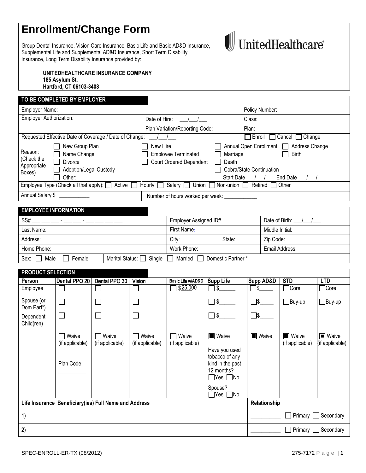# **Enrollment/Change Form**

Group Dental Insurance, Vision Care Insurance, Basic Life and Basic AD&D Insurance, Supplemental Life and Supplemental AD&D Insurance, Short Term Disability Insurance, Long Term Disability Insurance provided by:

# $\textcolor{red}{\textbf{1}}\!\!\!\!\text{UnitedHealthcare}^*$

**UNITEDHEALTHCARE INSURANCE COMPANY 185 Asylum St. Hartford, CT 06103-3408**

## **TO BE COMPLETED BY EMPLOYER**

| Employer Name:                                                                                                                            |                                                                              |                                                                          |                                        | Policy Number:                                                                                       |
|-------------------------------------------------------------------------------------------------------------------------------------------|------------------------------------------------------------------------------|--------------------------------------------------------------------------|----------------------------------------|------------------------------------------------------------------------------------------------------|
| Employer Authorization:                                                                                                                   |                                                                              | Date of Hire:                                                            |                                        | Class:                                                                                               |
|                                                                                                                                           |                                                                              | Plan Variation/Reporting Code:                                           |                                        | Plan:                                                                                                |
|                                                                                                                                           | Requested Effective Date of Coverage / Date of Change:                       |                                                                          |                                        | $\Box$ Enroll<br>$\Box$ Cancel $\Box$ Change                                                         |
| Reason:<br>(Check the<br>Appropriate<br>Boxes)                                                                                            | New Group Plan<br>Name Change<br>Divorce<br>Adoption/Legal Custody<br>Other: | New Hire<br><b>Employee Terminated</b><br><b>Court Ordered Dependent</b> | Marriage<br>Death<br><b>Start Date</b> | Annual Open Enrollment<br>Address Change<br><b>Birth</b><br>Cobra/State Continuation<br>End Date / / |
| $\Box$ Non-union $\Box$<br>Employee Type (Check all that apply): $\Box$<br>Salary [<br>Retired   Other<br>Hourly  <br>Active  <br>Union 1 |                                                                              |                                                                          |                                        |                                                                                                      |
| Annual Salary \$                                                                                                                          |                                                                              | Number of hours worked per week:                                         |                                        |                                                                                                      |
|                                                                                                                                           |                                                                              |                                                                          |                                        |                                                                                                      |

| <b>EMPLOYEE INFORMATION</b>                                                 |                       |       |                  |           |  |
|-----------------------------------------------------------------------------|-----------------------|-------|------------------|-----------|--|
| SS#                                                                         | Employer Assigned ID# |       | Date of Birth: / |           |  |
| Last Name:                                                                  | First Name:           |       | Middle Initial:  |           |  |
| Address:                                                                    |                       | City: | State:           | Zip Code: |  |
| Home Phone:                                                                 | Work Phone:           |       | Email Address:   |           |  |
| Marital Status: Single Married Domestic Partner *<br>Sex:<br>Male<br>Female |                       |       |                  |           |  |

| <b>PRODUCT SELECTION</b> |                                                       |                          |                                 |                          |                                                                                                                                             |                      |                                 |                                   |
|--------------------------|-------------------------------------------------------|--------------------------|---------------------------------|--------------------------|---------------------------------------------------------------------------------------------------------------------------------------------|----------------------|---------------------------------|-----------------------------------|
| Person                   | Dental PPO 20                                         | Dental PPO 30            | Vision                          | Basic Life w/AD&D        | <b>Supp Life</b>                                                                                                                            | <b>Supp AD&amp;D</b> | <b>STD</b>                      | <b>LTD</b>                        |
| Employee                 |                                                       |                          |                                 | \$25,000                 | \$                                                                                                                                          | ่ ๅ\$                | $\Box$ Core                     | $\Box$ Core                       |
| Spouse (or<br>Dom Part*) | $\Box$                                                | $\Box$                   |                                 |                          | $\Box$ \$                                                                                                                                   | $\Box$ s             | $\Box$ Buy-up                   | $\Box$ Buy-up                     |
| Dependent<br>Child(ren)  | $\Box$                                                | $\Box$                   |                                 |                          | $\Box$                                                                                                                                      | $\Box$ \$            |                                 |                                   |
|                          | Waive<br>(if applicable)<br>Plan Code:                | Waive<br>(if applicable) | Waive<br>(if applicable)        | Waive<br>(if applicable) | <b>Naive</b><br>Have you used<br>tobacco of any<br>kind in the past<br>12 months?<br>$\Box$ Yes $\Box$ No<br>Spouse?<br>7Yes  <br><b>No</b> | ■ Waive              | <b>Naive</b><br>(if applicable) | <b>I</b> Waive<br>(if applicable) |
|                          | Life Insurance Beneficiary(ies) Full Name and Address |                          |                                 |                          |                                                                                                                                             |                      |                                 |                                   |
| 1)                       |                                                       |                          | $\Box$ Primary $\Box$ Secondary |                          |                                                                                                                                             |                      |                                 |                                   |
| 2)                       |                                                       |                          |                                 |                          |                                                                                                                                             |                      | $\Box$ Primary $\Box$ Secondary |                                   |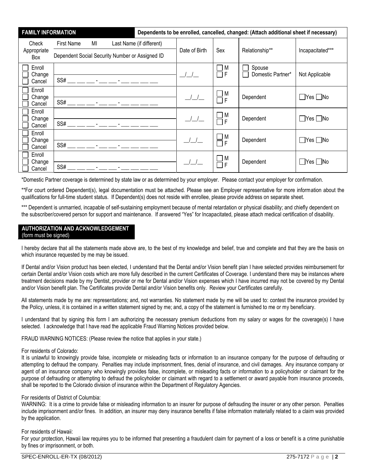| <b>FAMILY INFORMATION</b> |                                                 | Dependents to be enrolled, cancelled, changed: (Attach additional sheet if necessary) |                                               |                       |                             |                      |
|---------------------------|-------------------------------------------------|---------------------------------------------------------------------------------------|-----------------------------------------------|-----------------------|-----------------------------|----------------------|
| Check                     | MI<br><b>First Name</b>                         | Last Name (if different)                                                              |                                               | Sex                   |                             |                      |
| Appropriate<br>Box        | Dependent Social Security Number or Assigned ID |                                                                                       | Date of Birth                                 |                       | Relationship**              | Incapacitated***     |
| Enroll<br>Change          |                                                 |                                                                                       |                                               | M<br>$\sim$<br>F<br>π | Spouse<br>Domestic Partner* |                      |
| Cancel                    | $SS#$ __ __ __ _ _ _ _ _ _ _ _ _ _ _ __ _ __ _  |                                                                                       | $\left  \begin{array}{c} \end{array} \right $ |                       |                             | Not Applicable       |
| Enroll<br>Change          |                                                 |                                                                                       | $\left( \begin{array}{c} \end{array} \right)$ | M                     | Dependent                   | $\Box$ Yes $\Box$ No |
| Cancel                    |                                                 |                                                                                       |                                               | ПF                    |                             |                      |
| Enroll<br>Change          |                                                 |                                                                                       |                                               | $\Box$ M              | Dependent                   | $\Box$ Yes $\Box$ No |
| Cancel                    |                                                 |                                                                                       |                                               | ПF                    |                             |                      |
| Enroll<br>Change          |                                                 |                                                                                       |                                               | $\Box$ M              | Dependent                   | $\Box$ Yes $\Box$ No |
| Cancel                    |                                                 |                                                                                       |                                               | ПF                    |                             |                      |
| Enroll<br>Change          |                                                 |                                                                                       | $\frac{1}{2}$                                 | $\Box$ M              | Dependent                   | Yes   No             |
| Cancel                    | SS#<br>the contract of the contract of the      |                                                                                       |                                               | $\Box$ F              |                             |                      |

\*Domestic Partner coverage is determined by state law or as determined by your employer. Please contact your employer for confirmation.

\*\*For court ordered Dependent(s), legal documentation must be attached. Please see an Employer representative for more information about the qualifications for full-time student status. If Dependent(s) does not reside with enrollee, please provide address on separate sheet.

\*\*\* Dependent is unmarried, incapable of self-sustaining employment because of mental retardation or physical disability; and chiefly dependent on the subscriber/covered person for support and maintenance. If answered "Yes" for Incapacitated, please attach medical certification of disability.

#### **AUTHORIZATION AND ACKNOWLEDGEMENT** (form must be signed)

I hereby declare that all the statements made above are, to the best of my knowledge and belief, true and complete and that they are the basis on which insurance requested by me may be issued.

If Dental and/or Vision product has been elected, I understand that the Dental and/or Vision benefit plan I have selected provides reimbursement for certain Dental and/or Vision costs which are more fully described in the current Certificates of Coverage. I understand there may be instances where treatment decisions made by my Dentist, provider or me for Dental and/or Vision expenses which I have incurred may not be covered by my Dental and/or Vision benefit plan. The Certificates provide Dental and/or Vision benefits only. Review your Certificates carefully.

All statements made by me are: representations; and, not warranties. No statement made by me will be used to: contest the insurance provided by the Policy, unless, it is contained in a written statement signed by me; and, a copy of the statement is furnished to me or my beneficiary.

I understand that by signing this form I am authorizing the necessary premium deductions from my salary or wages for the coverage(s) I have selected. I acknowledge that I have read the applicable Fraud Warning Notices provided below.

FRAUD WARNING NOTICES: (Please review the notice that applies in your state.)

#### For residents of Colorado:

It is unlawful to knowingly provide false, incomplete or misleading facts or information to an insurance company for the purpose of defrauding or attempting to defraud the company. Penalties may include imprisonment, fines, denial of insurance, and civil damages. Any insurance company or agent of an insurance company who knowingly provides false, incomplete, or misleading facts or information to a policyholder or claimant for the purpose of defrauding or attempting to defraud the policyholder or claimant with regard to a settlement or award payable from insurance proceeds, shall be reported to the Colorado division of insurance within the Department of Regulatory Agencies.

#### For residents of District of Columbia:

WARNING: It is a crime to provide false or misleading information to an insurer for purpose of defrauding the insurer or any other person. Penalties include imprisonment and/or fines. In addition, an insurer may deny insurance benefits if false information materially related to a claim was provided by the application.

#### For residents of Hawaii:

For your protection, Hawaii law requires you to be informed that presenting a fraudulent claim for payment of a loss or benefit is a crime punishable by fines or imprisonment, or both.